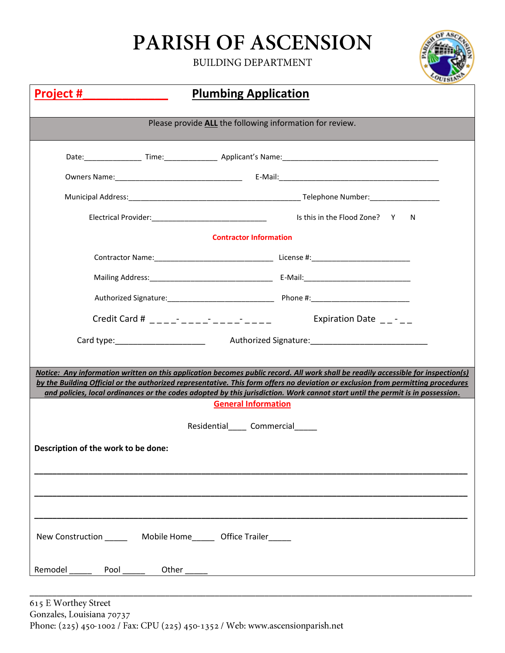## PARISH OF ASCENSION

**BUILDING DEPARTMENT** 



| <b>Plumbing Application</b><br><u>Project #</u>          |                                                                                                                                                                                                                                                                                                                                                                                                                                                                                                                                                                                                                                                                                                                                                                                                                                             |  |  |  |  |  |  |
|----------------------------------------------------------|---------------------------------------------------------------------------------------------------------------------------------------------------------------------------------------------------------------------------------------------------------------------------------------------------------------------------------------------------------------------------------------------------------------------------------------------------------------------------------------------------------------------------------------------------------------------------------------------------------------------------------------------------------------------------------------------------------------------------------------------------------------------------------------------------------------------------------------------|--|--|--|--|--|--|
| Please provide ALL the following information for review. |                                                                                                                                                                                                                                                                                                                                                                                                                                                                                                                                                                                                                                                                                                                                                                                                                                             |  |  |  |  |  |  |
|                                                          |                                                                                                                                                                                                                                                                                                                                                                                                                                                                                                                                                                                                                                                                                                                                                                                                                                             |  |  |  |  |  |  |
|                                                          |                                                                                                                                                                                                                                                                                                                                                                                                                                                                                                                                                                                                                                                                                                                                                                                                                                             |  |  |  |  |  |  |
|                                                          |                                                                                                                                                                                                                                                                                                                                                                                                                                                                                                                                                                                                                                                                                                                                                                                                                                             |  |  |  |  |  |  |
|                                                          | N.                                                                                                                                                                                                                                                                                                                                                                                                                                                                                                                                                                                                                                                                                                                                                                                                                                          |  |  |  |  |  |  |
|                                                          | <b>Contractor Information</b>                                                                                                                                                                                                                                                                                                                                                                                                                                                                                                                                                                                                                                                                                                                                                                                                               |  |  |  |  |  |  |
|                                                          |                                                                                                                                                                                                                                                                                                                                                                                                                                                                                                                                                                                                                                                                                                                                                                                                                                             |  |  |  |  |  |  |
|                                                          |                                                                                                                                                                                                                                                                                                                                                                                                                                                                                                                                                                                                                                                                                                                                                                                                                                             |  |  |  |  |  |  |
|                                                          |                                                                                                                                                                                                                                                                                                                                                                                                                                                                                                                                                                                                                                                                                                                                                                                                                                             |  |  |  |  |  |  |
|                                                          | Expiration Date $\_\$ - $\_\$                                                                                                                                                                                                                                                                                                                                                                                                                                                                                                                                                                                                                                                                                                                                                                                                               |  |  |  |  |  |  |
|                                                          |                                                                                                                                                                                                                                                                                                                                                                                                                                                                                                                                                                                                                                                                                                                                                                                                                                             |  |  |  |  |  |  |
|                                                          |                                                                                                                                                                                                                                                                                                                                                                                                                                                                                                                                                                                                                                                                                                                                                                                                                                             |  |  |  |  |  |  |
|                                                          |                                                                                                                                                                                                                                                                                                                                                                                                                                                                                                                                                                                                                                                                                                                                                                                                                                             |  |  |  |  |  |  |
|                                                          | <b>General Information</b>                                                                                                                                                                                                                                                                                                                                                                                                                                                                                                                                                                                                                                                                                                                                                                                                                  |  |  |  |  |  |  |
|                                                          | Residential______ Commercial______                                                                                                                                                                                                                                                                                                                                                                                                                                                                                                                                                                                                                                                                                                                                                                                                          |  |  |  |  |  |  |
| Description of the work to be done:                      |                                                                                                                                                                                                                                                                                                                                                                                                                                                                                                                                                                                                                                                                                                                                                                                                                                             |  |  |  |  |  |  |
|                                                          |                                                                                                                                                                                                                                                                                                                                                                                                                                                                                                                                                                                                                                                                                                                                                                                                                                             |  |  |  |  |  |  |
|                                                          |                                                                                                                                                                                                                                                                                                                                                                                                                                                                                                                                                                                                                                                                                                                                                                                                                                             |  |  |  |  |  |  |
|                                                          |                                                                                                                                                                                                                                                                                                                                                                                                                                                                                                                                                                                                                                                                                                                                                                                                                                             |  |  |  |  |  |  |
|                                                          | Electrical Provider:<br>Y<br>Credit Card # $\frac{1}{2}$ $\frac{1}{2}$ $\frac{1}{2}$ $\frac{1}{2}$ $\frac{1}{2}$ $\frac{1}{2}$ $\frac{1}{2}$ $\frac{1}{2}$ $\frac{1}{2}$ $\frac{1}{2}$ $\frac{1}{2}$ $\frac{1}{2}$ $\frac{1}{2}$ $\frac{1}{2}$ $\frac{1}{2}$ $\frac{1}{2}$ $\frac{1}{2}$ $\frac{1}{2}$ $\frac{1}{2}$ $\frac{1}{2}$ $\frac{1}{2$<br>Notice: Any information written on this application becomes public record. All work shall be readily accessible for inspection(s)<br>by the Building Official or the authorized representative. This form offers no deviation or exclusion from permitting procedures<br>and policies, local ordinances or the codes adopted by this jurisdiction. Work cannot start until the permit is in possession.<br>New Construction ________ Mobile Home ______ Office Trailer<br>Pool_<br>Other |  |  |  |  |  |  |
| Remodel                                                  |                                                                                                                                                                                                                                                                                                                                                                                                                                                                                                                                                                                                                                                                                                                                                                                                                                             |  |  |  |  |  |  |

\_\_\_\_\_\_\_\_\_\_\_\_\_\_\_\_\_\_\_\_\_\_\_\_\_\_\_\_\_\_\_\_\_\_\_\_\_\_\_\_\_\_\_\_\_\_\_\_\_\_\_\_\_\_\_\_\_\_\_\_\_\_\_\_\_\_\_\_\_\_\_\_\_\_\_\_\_\_\_\_\_\_\_\_\_\_\_\_\_\_\_\_\_\_\_\_\_\_